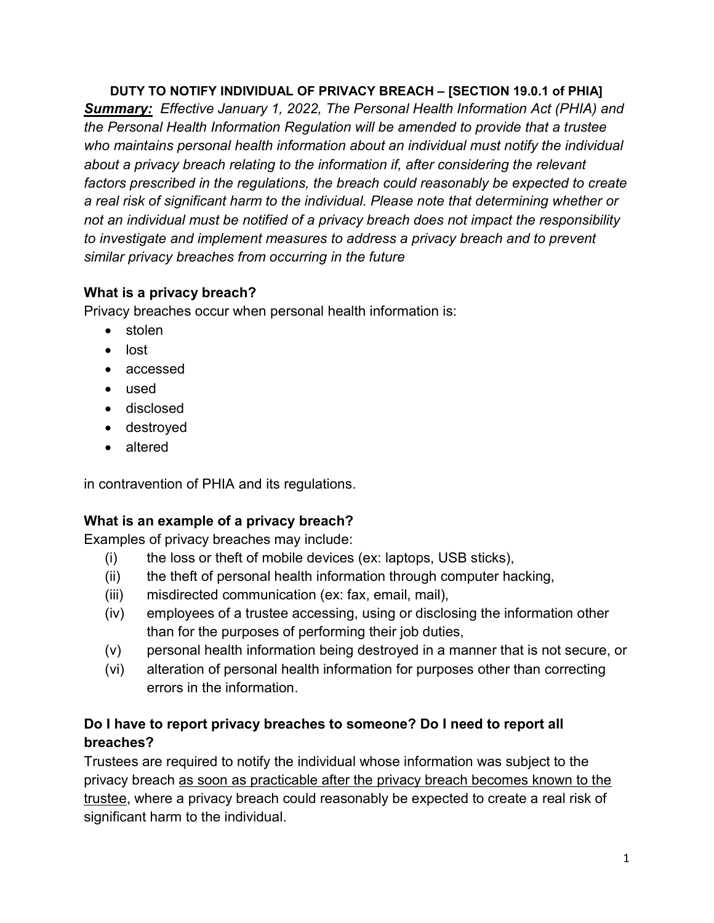DUTY TO NOTIFY INDIVIDUAL OF PRIVACY BREACH – [SECTION 19.0.1 of PHIA]

Summary: Effective January 1, 2022, The Personal Health Information Act (PHIA) and the Personal Health Information Regulation will be amended to provide that a trustee who maintains personal health information about an individual must notify the individual about a privacy breach relating to the information if, after considering the relevant factors prescribed in the regulations, the breach could reasonably be expected to create a real risk of significant harm to the individual. Please note that determining whether or not an individual must be notified of a privacy breach does not impact the responsibility to investigate and implement measures to address a privacy breach and to prevent similar privacy breaches from occurring in the future

# What is a privacy breach?

Privacy breaches occur when personal health information is:

- stolen
- lost
- accessed
- used
- disclosed
- destroyed
- altered

in contravention of PHIA and its regulations.

# What is an example of a privacy breach?

Examples of privacy breaches may include:

- (i) the loss or theft of mobile devices (ex: laptops, USB sticks),
- (ii) the theft of personal health information through computer hacking,
- (iii) misdirected communication (ex: fax, email, mail),
- (iv) employees of a trustee accessing, using or disclosing the information other than for the purposes of performing their job duties,
- (v) personal health information being destroyed in a manner that is not secure, or
- (vi) alteration of personal health information for purposes other than correcting errors in the information.

# Do I have to report privacy breaches to someone? Do I need to report all breaches?

Trustees are required to notify the individual whose information was subject to the privacy breach as soon as practicable after the privacy breach becomes known to the trustee, where a privacy breach could reasonably be expected to create a real risk of significant harm to the individual.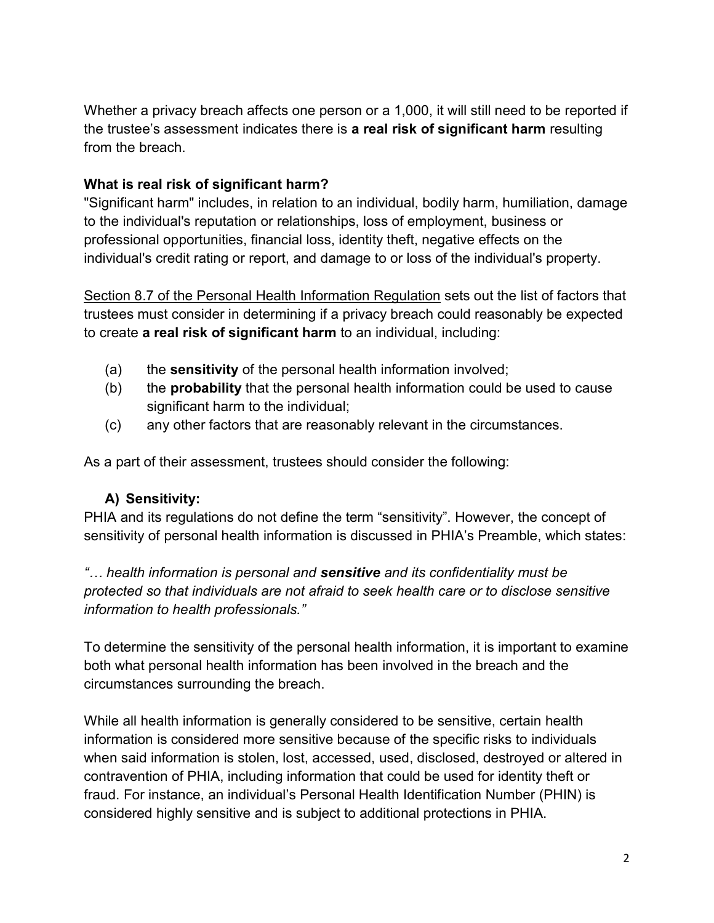Whether a privacy breach affects one person or a 1,000, it will still need to be reported if the trustee's assessment indicates there is a real risk of significant harm resulting from the breach.

### What is real risk of significant harm?

"Significant harm" includes, in relation to an individual, bodily harm, humiliation, damage to the individual's reputation or relationships, loss of employment, business or professional opportunities, financial loss, identity theft, negative effects on the individual's credit rating or report, and damage to or loss of the individual's property.

Section 8.7 of the Personal Health Information Regulation sets out the list of factors that trustees must consider in determining if a privacy breach could reasonably be expected to create a real risk of significant harm to an individual, including:

- (a) the **sensitivity** of the personal health information involved;
- $(b)$  the **probability** that the personal health information could be used to cause significant harm to the individual;
- (c) any other factors that are reasonably relevant in the circumstances.

As a part of their assessment, trustees should consider the following:

# A) Sensitivity:

PHIA and its regulations do not define the term "sensitivity". However, the concept of sensitivity of personal health information is discussed in PHIA's Preamble, which states:

"... health information is personal and sensitive and its confidentiality must be protected so that individuals are not afraid to seek health care or to disclose sensitive information to health professionals."

To determine the sensitivity of the personal health information, it is important to examine both what personal health information has been involved in the breach and the circumstances surrounding the breach.

While all health information is generally considered to be sensitive, certain health information is considered more sensitive because of the specific risks to individuals when said information is stolen, lost, accessed, used, disclosed, destroyed or altered in contravention of PHIA, including information that could be used for identity theft or fraud. For instance, an individual's Personal Health Identification Number (PHIN) is considered highly sensitive and is subject to additional protections in PHIA.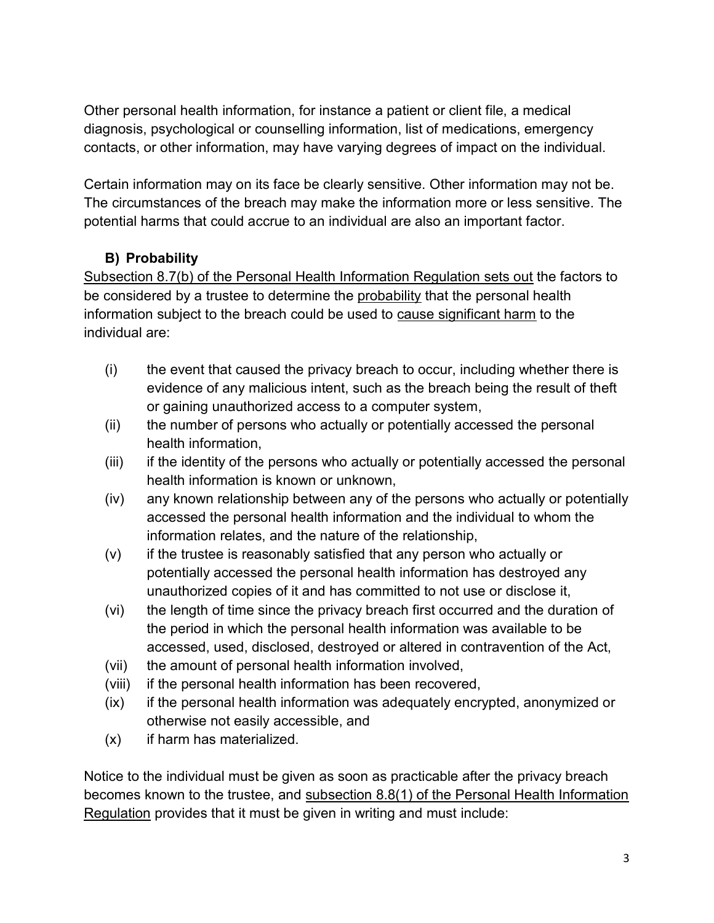Other personal health information, for instance a patient or client file, a medical diagnosis, psychological or counselling information, list of medications, emergency contacts, or other information, may have varying degrees of impact on the individual.

Certain information may on its face be clearly sensitive. Other information may not be. The circumstances of the breach may make the information more or less sensitive. The potential harms that could accrue to an individual are also an important factor.

# B) Probability

Subsection 8.7(b) of the Personal Health Information Regulation sets out the factors to be considered by a trustee to determine the probability that the personal health information subject to the breach could be used to cause significant harm to the individual are:

- (i) the event that caused the privacy breach to occur, including whether there is evidence of any malicious intent, such as the breach being the result of theft or gaining unauthorized access to a computer system,
- (ii) the number of persons who actually or potentially accessed the personal health information,
- (iii) if the identity of the persons who actually or potentially accessed the personal health information is known or unknown,
- (iv) any known relationship between any of the persons who actually or potentially accessed the personal health information and the individual to whom the information relates, and the nature of the relationship,
- (v) if the trustee is reasonably satisfied that any person who actually or potentially accessed the personal health information has destroyed any unauthorized copies of it and has committed to not use or disclose it,
- (vi) the length of time since the privacy breach first occurred and the duration of the period in which the personal health information was available to be accessed, used, disclosed, destroyed or altered in contravention of the Act,
- (vii) the amount of personal health information involved,
- (viii) if the personal health information has been recovered,
- (ix) if the personal health information was adequately encrypted, anonymized or otherwise not easily accessible, and
- (x) if harm has materialized.

Notice to the individual must be given as soon as practicable after the privacy breach becomes known to the trustee, and subsection 8.8(1) of the Personal Health Information Regulation provides that it must be given in writing and must include: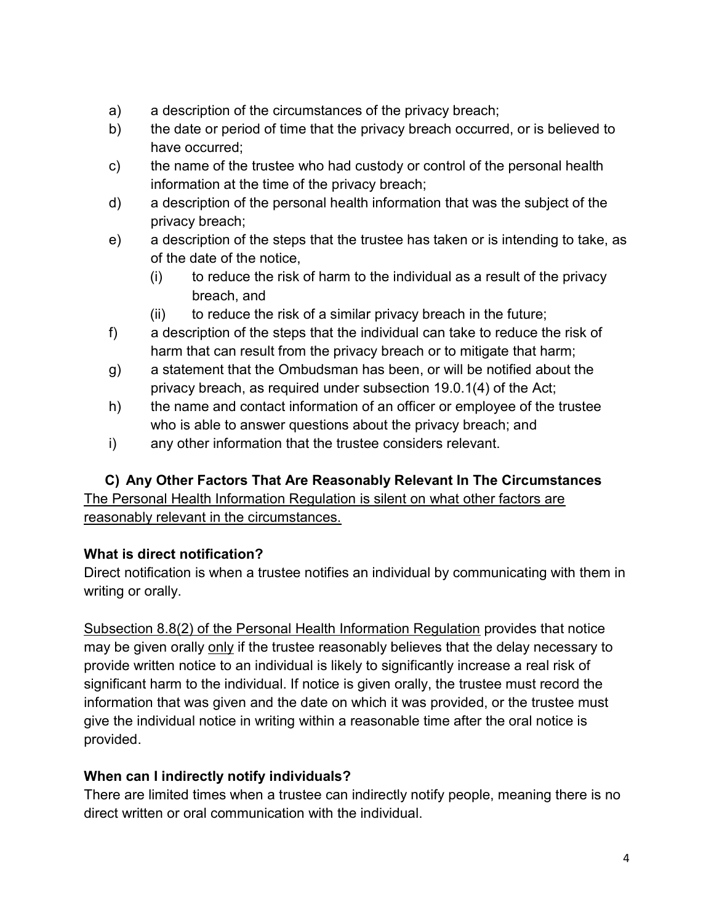- a) a description of the circumstances of the privacy breach;
- b) the date or period of time that the privacy breach occurred, or is believed to have occurred;
- c) the name of the trustee who had custody or control of the personal health information at the time of the privacy breach;
- d) a description of the personal health information that was the subject of the privacy breach;
- e) a description of the steps that the trustee has taken or is intending to take, as of the date of the notice,
	- $(i)$  to reduce the risk of harm to the individual as a result of the privacy breach, and
	- (ii) to reduce the risk of a similar privacy breach in the future;
- f) a description of the steps that the individual can take to reduce the risk of harm that can result from the privacy breach or to mitigate that harm;
- g) a statement that the Ombudsman has been, or will be notified about the privacy breach, as required under subsection 19.0.1(4) of the Act;
- h) the name and contact information of an officer or employee of the trustee who is able to answer questions about the privacy breach; and
- i) any other information that the trustee considers relevant.

# C) Any Other Factors That Are Reasonably Relevant In The Circumstances

The Personal Health Information Regulation is silent on what other factors are reasonably relevant in the circumstances.

# What is direct notification?

Direct notification is when a trustee notifies an individual by communicating with them in writing or orally.

Subsection 8.8(2) of the Personal Health Information Regulation provides that notice may be given orally only if the trustee reasonably believes that the delay necessary to provide written notice to an individual is likely to significantly increase a real risk of significant harm to the individual. If notice is given orally, the trustee must record the information that was given and the date on which it was provided, or the trustee must give the individual notice in writing within a reasonable time after the oral notice is provided.

# When can I indirectly notify individuals?

There are limited times when a trustee can indirectly notify people, meaning there is no direct written or oral communication with the individual.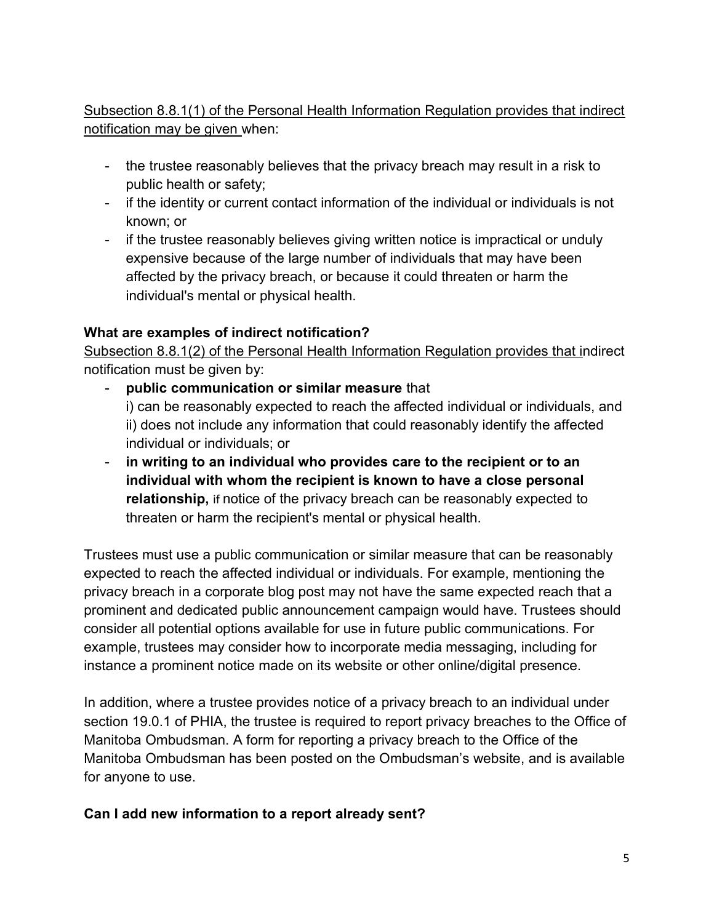# Subsection 8.8.1(1) of the Personal Health Information Regulation provides that indirect notification may be given when:

- the trustee reasonably believes that the privacy breach may result in a risk to public health or safety;
- if the identity or current contact information of the individual or individuals is not known; or
- if the trustee reasonably believes giving written notice is impractical or unduly expensive because of the large number of individuals that may have been affected by the privacy breach, or because it could threaten or harm the individual's mental or physical health.

### What are examples of indirect notification?

Subsection 8.8.1(2) of the Personal Health Information Regulation provides that indirect notification must be given by:

- public communication or similar measure that i) can be reasonably expected to reach the affected individual or individuals, and ii) does not include any information that could reasonably identify the affected individual or individuals; or
- in writing to an individual who provides care to the recipient or to an individual with whom the recipient is known to have a close personal relationship, if notice of the privacy breach can be reasonably expected to threaten or harm the recipient's mental or physical health.

Trustees must use a public communication or similar measure that can be reasonably expected to reach the affected individual or individuals. For example, mentioning the privacy breach in a corporate blog post may not have the same expected reach that a prominent and dedicated public announcement campaign would have. Trustees should consider all potential options available for use in future public communications. For example, trustees may consider how to incorporate media messaging, including for instance a prominent notice made on its website or other online/digital presence.

In addition, where a trustee provides notice of a privacy breach to an individual under section 19.0.1 of PHIA, the trustee is required to report privacy breaches to the Office of Manitoba Ombudsman. A form for reporting a privacy breach to the Office of the Manitoba Ombudsman has been posted on the Ombudsman's website, and is available for anyone to use.

#### Can I add new information to a report already sent?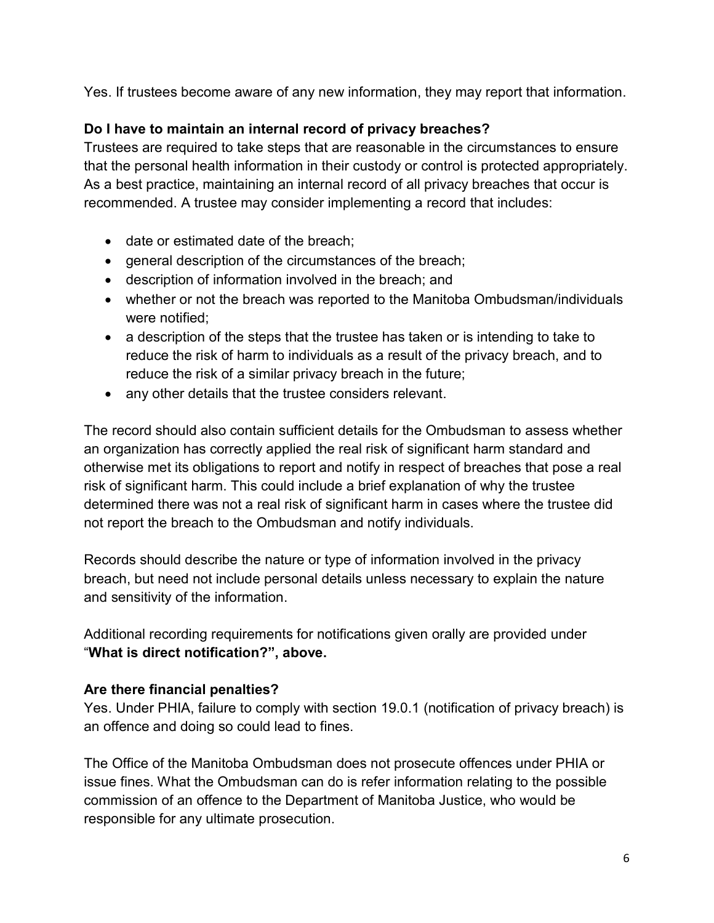Yes. If trustees become aware of any new information, they may report that information.

# Do I have to maintain an internal record of privacy breaches?

Trustees are required to take steps that are reasonable in the circumstances to ensure that the personal health information in their custody or control is protected appropriately. As a best practice, maintaining an internal record of all privacy breaches that occur is recommended. A trustee may consider implementing a record that includes:

- date or estimated date of the breach;
- general description of the circumstances of the breach;
- description of information involved in the breach; and
- whether or not the breach was reported to the Manitoba Ombudsman/individuals were notified;
- a description of the steps that the trustee has taken or is intending to take to reduce the risk of harm to individuals as a result of the privacy breach, and to reduce the risk of a similar privacy breach in the future;
- any other details that the trustee considers relevant.

The record should also contain sufficient details for the Ombudsman to assess whether an organization has correctly applied the real risk of significant harm standard and otherwise met its obligations to report and notify in respect of breaches that pose a real risk of significant harm. This could include a brief explanation of why the trustee determined there was not a real risk of significant harm in cases where the trustee did not report the breach to the Ombudsman and notify individuals.

Records should describe the nature or type of information involved in the privacy breach, but need not include personal details unless necessary to explain the nature and sensitivity of the information.

Additional recording requirements for notifications given orally are provided under "What is direct notification?", above.

#### Are there financial penalties?

Yes. Under PHIA, failure to comply with section 19.0.1 (notification of privacy breach) is an offence and doing so could lead to fines.

The Office of the Manitoba Ombudsman does not prosecute offences under PHIA or issue fines. What the Ombudsman can do is refer information relating to the possible commission of an offence to the Department of Manitoba Justice, who would be responsible for any ultimate prosecution.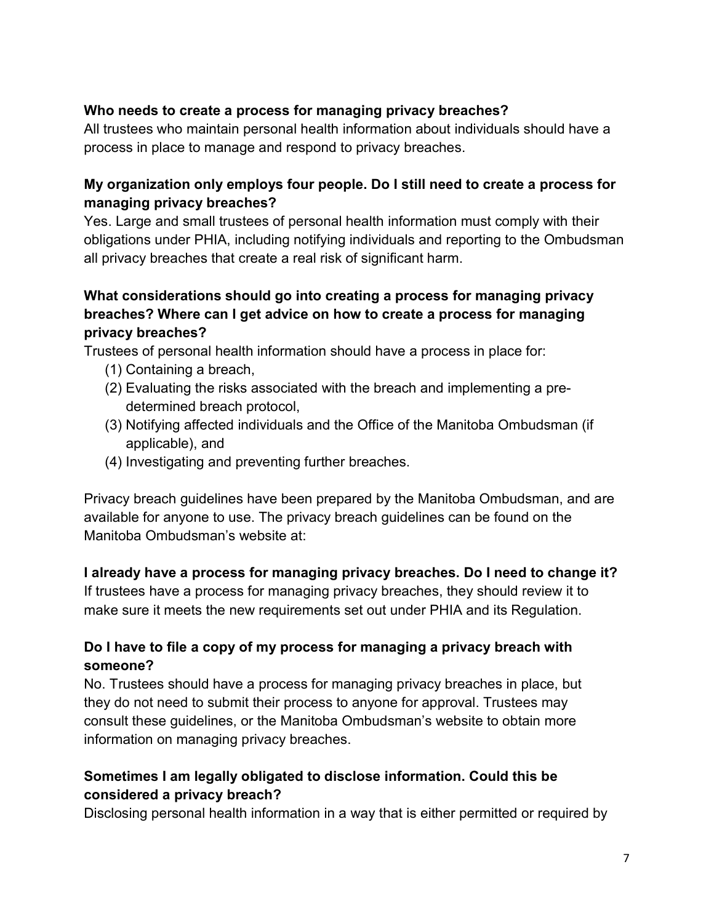### Who needs to create a process for managing privacy breaches?

All trustees who maintain personal health information about individuals should have a process in place to manage and respond to privacy breaches.

### My organization only employs four people. Do I still need to create a process for managing privacy breaches?

Yes. Large and small trustees of personal health information must comply with their obligations under PHIA, including notifying individuals and reporting to the Ombudsman all privacy breaches that create a real risk of significant harm.

## What considerations should go into creating a process for managing privacy breaches? Where can I get advice on how to create a process for managing privacy breaches?

Trustees of personal health information should have a process in place for:

- (1) Containing a breach,
- (2) Evaluating the risks associated with the breach and implementing a predetermined breach protocol,
- (3) Notifying affected individuals and the Office of the Manitoba Ombudsman (if applicable), and
- (4) Investigating and preventing further breaches.

Privacy breach guidelines have been prepared by the Manitoba Ombudsman, and are available for anyone to use. The privacy breach guidelines can be found on the Manitoba Ombudsman's website at:

# I already have a process for managing privacy breaches. Do I need to change it?

If trustees have a process for managing privacy breaches, they should review it to make sure it meets the new requirements set out under PHIA and its Regulation.

# Do I have to file a copy of my process for managing a privacy breach with someone?

No. Trustees should have a process for managing privacy breaches in place, but they do not need to submit their process to anyone for approval. Trustees may consult these guidelines, or the Manitoba Ombudsman's website to obtain more information on managing privacy breaches.

# Sometimes I am legally obligated to disclose information. Could this be considered a privacy breach?

Disclosing personal health information in a way that is either permitted or required by